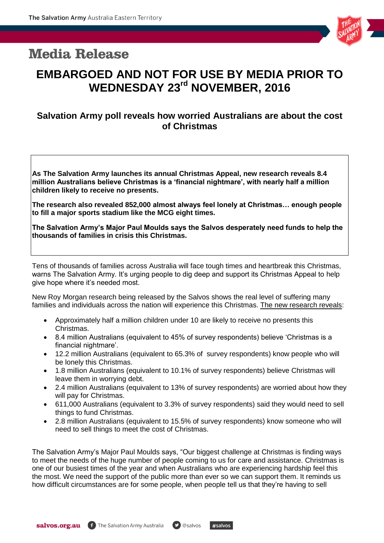## **Media Release**



# **EMBARGOED AND NOT FOR USE BY MEDIA PRIOR TO WEDNESDAY 23 rd NOVEMBER, 2016**

### **Salvation Army poll reveals how worried Australians are about the cost of Christmas**

**As The Salvation Army launches its annual Christmas Appeal, new research reveals 8.4 million Australians believe Christmas is a 'financial nightmare', with nearly half a million children likely to receive no presents.** 

**The research also revealed 852,000 almost always feel lonely at Christmas… enough people to fill a major sports stadium like the MCG eight times.**

**The Salvation Army's Major Paul Moulds says the Salvos desperately need funds to help the thousands of families in crisis this Christmas.**

Tens of thousands of families across Australia will face tough times and heartbreak this Christmas, warns The Salvation Army. It's urging people to dig deep and support its Christmas Appeal to help give hope where it's needed most.

New Roy Morgan research being released by the Salvos shows the real level of suffering many families and individuals across the nation will experience this Christmas. The new research reveals:

- Approximately half a million children under 10 are likely to receive no presents this Christmas.
- 8.4 million Australians (equivalent to 45% of survey respondents) believe "Christmas is a financial nightmare'.
- 12.2 million Australians (equivalent to 65.3% of survey respondents) know people who will be lonely this Christmas.
- 1.8 million Australians (equivalent to 10.1% of survey respondents) believe Christmas will leave them in worrying debt.
- 2.4 million Australians (equivalent to 13% of survey respondents) are worried about how they will pay for Christmas.
- 611,000 Australians (equivalent to 3.3% of survey respondents) said they would need to sell things to fund Christmas.
- 2.8 million Australians (equivalent to 15.5% of survey respondents) know someone who will need to sell things to meet the cost of Christmas.

The Salvation Army"s Major Paul Moulds says, "Our biggest challenge at Christmas is finding ways to meet the needs of the huge number of people coming to us for care and assistance. Christmas is one of our busiest times of the year and when Australians who are experiencing hardship feel this the most. We need the support of the public more than ever so we can support them. It reminds us how difficult circumstances are for some people, when people tell us that they"re having to sell

 $#salvos$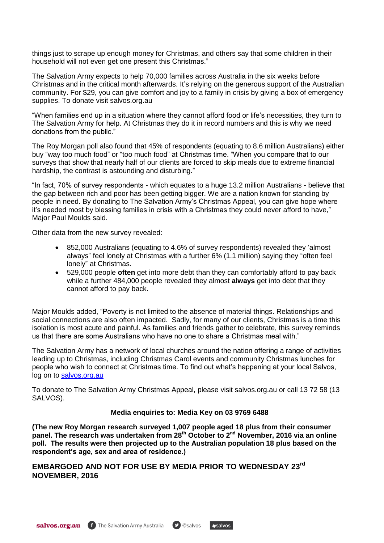things just to scrape up enough money for Christmas, and others say that some children in their household will not even get one present this Christmas."

The Salvation Army expects to help 70,000 families across Australia in the six weeks before Christmas and in the critical month afterwards. It's relying on the generous support of the Australian community. For \$29, you can give comfort and joy to a family in crisis by giving a box of emergency supplies. To donate visit salvos.org.au

"When families end up in a situation where they cannot afford food or life"s necessities, they turn to The Salvation Army for help. At Christmas they do it in record numbers and this is why we need donations from the public."

The Roy Morgan poll also found that 45% of respondents (equating to 8.6 million Australians) either buy "way too much food" or "too much food" at Christmas time. "When you compare that to our surveys that show that nearly half of our clients are forced to skip meals due to extreme financial hardship, the contrast is astounding and disturbing."

"In fact, 70% of survey respondents - which equates to a huge 13.2 million Australians - believe that the gap between rich and poor has been getting bigger. We are a nation known for standing by people in need. By donating to The Salvation Army"s Christmas Appeal, you can give hope where it"s needed most by blessing families in crisis with a Christmas they could never afford to have," Major Paul Moulds said.

Other data from the new survey revealed:

- 852,000 Australians (equating to 4.6% of survey respondents) revealed they "almost always" feel lonely at Christmas with a further 6% (1.1 million) saying they "often feel lonely" at Christmas.
- 529,000 people **often** get into more debt than they can comfortably afford to pay back while a further 484,000 people revealed they almost **always** get into debt that they cannot afford to pay back.

Major Moulds added, "Poverty is not limited to the absence of material things. Relationships and social connections are also often impacted. Sadly, for many of our clients, Christmas is a time this isolation is most acute and painful. As families and friends gather to celebrate, this survey reminds us that there are some Australians who have no one to share a Christmas meal with."

The Salvation Army has a network of local churches around the nation offering a range of activities leading up to Christmas, including Christmas Carol events and community Christmas lunches for people who wish to connect at Christmas time. To find out what"s happening at your local Salvos, log on to [salvos.org.au](http://salvos.org.au/)

To donate to The Salvation Army Christmas Appeal, please visit salvos.org.au or call 13 72 58 (13 SALVOS).

#### **Media enquiries to: Media Key on 03 9769 6488**

**(The new Roy Morgan research surveyed 1,007 people aged 18 plus from their consumer panel. The research was undertaken from 28th October to 2nd November, 2016 via an online poll. The results were then projected up to the Australian population 18 plus based on the respondent's age, sex and area of residence.)**

 $#salvos$ 

**EMBARGOED AND NOT FOR USE BY MEDIA PRIOR TO WEDNESDAY 23rd NOVEMBER, 2016**